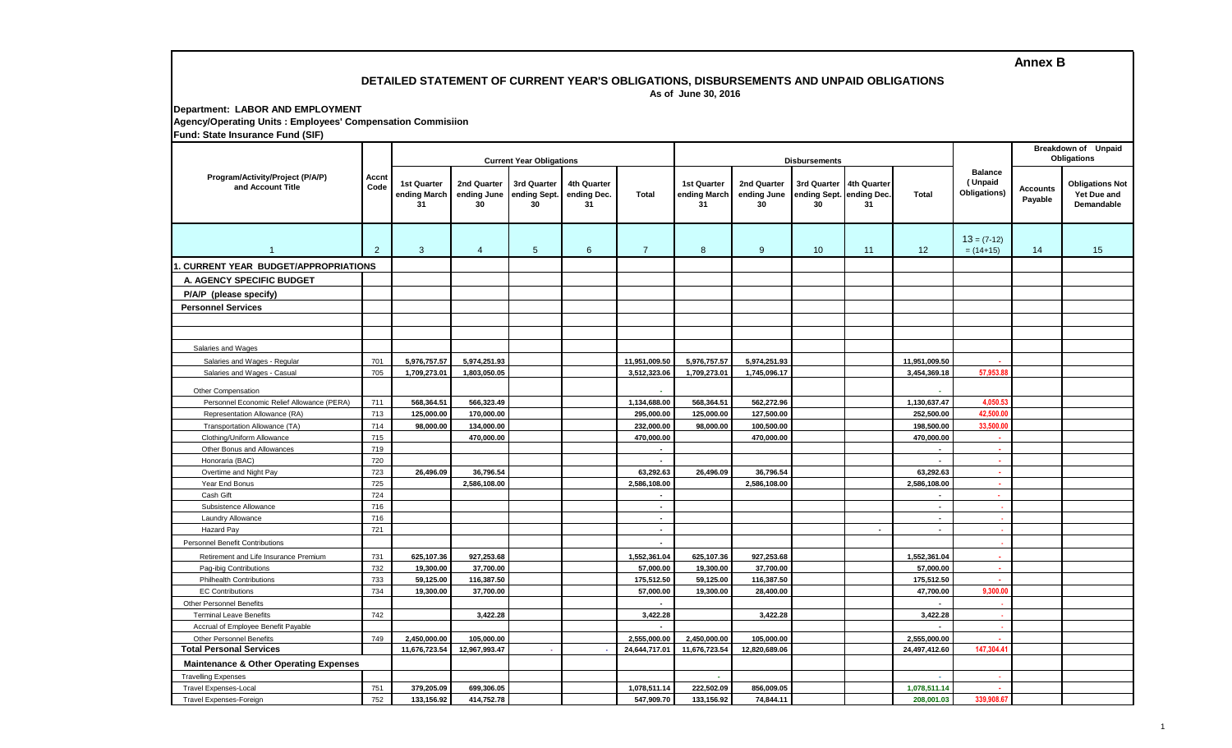**Annex B**

### **DETAILED STATEMENT OF CURRENT YEAR'S OBLIGATIONS, DISBURSEMENTS AND UNPAID OBLIGATIONS As of June 30, 2016**

## **Department: LABOR AND EMPLOYMENT Agency/Operating Units : Employees' Compensation Commisiion Fund: State Insurance Fund (SIF)**

| $\frac{1}{2}$ and $\frac{1}{2}$ cato modelling $\frac{1}{2}$ and $\frac{1}{2}$<br>Program/Activity/Project (P/A/P)<br>and Account Title | Accnt<br>Code  | <b>Current Year Obligations</b>   |                                  |                                   |                                  |                               |                                          |                                  | <b>Disbursements</b>                                      |        | Breakdown of Unpaid<br>Obligations |                                           |                            |                                                     |
|-----------------------------------------------------------------------------------------------------------------------------------------|----------------|-----------------------------------|----------------------------------|-----------------------------------|----------------------------------|-------------------------------|------------------------------------------|----------------------------------|-----------------------------------------------------------|--------|------------------------------------|-------------------------------------------|----------------------------|-----------------------------------------------------|
|                                                                                                                                         |                | 1st Quarter<br>ending March<br>31 | 2nd Quarter<br>ending June<br>30 | 3rd Quarter<br>ending Sept.<br>30 | 4th Quarter<br>ending Dec.<br>31 | <b>Total</b>                  | <b>1st Quarter</b><br>ending March<br>31 | 2nd Quarter<br>ending June<br>30 | 3rd Quarter 4th Quarter<br>ending Sept. ending Dec.<br>30 | 31     | Total                              | <b>Balance</b><br>(Unpaid<br>Obligations) | <b>Accounts</b><br>Payable | <b>Obligations Not</b><br>Yet Due and<br>Demandable |
| $\overline{1}$                                                                                                                          | $\overline{2}$ | 3                                 | $\overline{4}$                   | $5\overline{)}$                   | 6                                | $\overline{7}$                | 8                                        | $9^{\circ}$                      | 10                                                        | 11     | 12                                 | $13 = (7-12)$<br>$= (14+15)$              | 14                         | 15                                                  |
| 1. CURRENT YEAR BUDGET/APPROPRIATIONS                                                                                                   |                |                                   |                                  |                                   |                                  |                               |                                          |                                  |                                                           |        |                                    |                                           |                            |                                                     |
| A. AGENCY SPECIFIC BUDGET                                                                                                               |                |                                   |                                  |                                   |                                  |                               |                                          |                                  |                                                           |        |                                    |                                           |                            |                                                     |
| P/A/P (please specify)                                                                                                                  |                |                                   |                                  |                                   |                                  |                               |                                          |                                  |                                                           |        |                                    |                                           |                            |                                                     |
| <b>Personnel Services</b>                                                                                                               |                |                                   |                                  |                                   |                                  |                               |                                          |                                  |                                                           |        |                                    |                                           |                            |                                                     |
|                                                                                                                                         |                |                                   |                                  |                                   |                                  |                               |                                          |                                  |                                                           |        |                                    |                                           |                            |                                                     |
|                                                                                                                                         |                |                                   |                                  |                                   |                                  |                               |                                          |                                  |                                                           |        |                                    |                                           |                            |                                                     |
| Salaries and Wages                                                                                                                      |                |                                   |                                  |                                   |                                  |                               |                                          |                                  |                                                           |        |                                    |                                           |                            |                                                     |
| Salaries and Wages - Regular                                                                                                            | 701            | 5,976,757.57                      | 5,974,251.93                     |                                   |                                  | 11,951,009.50                 | 5,976,757.57                             | 5,974,251.93                     |                                                           |        | 11,951,009.50                      |                                           |                            |                                                     |
| Salaries and Wages - Casual                                                                                                             | 705            | 1,709,273.01                      | 1,803,050.05                     |                                   |                                  | 3,512,323.06                  | 1,709,273.01                             | 1,745,096.17                     |                                                           |        | 3,454,369.18                       | 57,953.88                                 |                            |                                                     |
|                                                                                                                                         |                |                                   |                                  |                                   |                                  |                               |                                          |                                  |                                                           |        |                                    |                                           |                            |                                                     |
| Other Compensation                                                                                                                      | 711            | 568,364.51                        | 566,323.49                       |                                   |                                  | 1,134,688.00                  | 568,364.51                               | 562,272.96                       |                                                           |        | 1,130,637.47                       | 4,050.53                                  |                            |                                                     |
| Personnel Economic Relief Allowance (PERA)<br>Representation Allowance (RA)                                                             | 713            | 125,000.00                        | 170,000.00                       |                                   |                                  | 295,000.00                    | 125,000.00                               | 127,500.00                       |                                                           |        | 252,500.00                         | 42,500.00                                 |                            |                                                     |
| Transportation Allowance (TA)                                                                                                           | 714            | 98,000.00                         | 134.000.00                       |                                   |                                  | 232,000.00                    | 98,000.00                                | 100,500.00                       |                                                           |        | 198,500.00                         | 33,500.00                                 |                            |                                                     |
| Clothing/Uniform Allowance                                                                                                              | 715            |                                   | 470,000.00                       |                                   |                                  | 470,000.00                    |                                          | 470,000.00                       |                                                           |        | 470,000.00                         | $\epsilon$                                |                            |                                                     |
| Other Bonus and Allowances                                                                                                              | 719            |                                   |                                  |                                   |                                  | $\blacksquare$                |                                          |                                  |                                                           |        |                                    | ×                                         |                            |                                                     |
| Honoraria (BAC)                                                                                                                         | 720            |                                   |                                  |                                   |                                  | $\sim$                        |                                          |                                  |                                                           |        | $\overline{\phantom{a}}$           | $\sim$                                    |                            |                                                     |
| Overtime and Night Pay                                                                                                                  | 723            | 26,496.09                         | 36,796.54                        |                                   |                                  | 63,292.63                     | 26,496.09                                | 36,796.54                        |                                                           |        | 63,292.63                          | $\mathbf{r}$                              |                            |                                                     |
| Year End Bonus                                                                                                                          | 725            |                                   | 2,586,108.00                     |                                   |                                  | 2,586,108.00                  |                                          | 2,586,108.00                     |                                                           |        | 2,586,108.00                       | У.                                        |                            |                                                     |
| Cash Gift                                                                                                                               | 724            |                                   |                                  |                                   |                                  | $\sim$                        |                                          |                                  |                                                           |        | $\overline{\phantom{a}}$           | $\sim$                                    |                            |                                                     |
| Subsistence Allowance                                                                                                                   | 716            |                                   |                                  |                                   |                                  | $\sim$                        |                                          |                                  |                                                           |        | $\blacksquare$                     | - 1                                       |                            |                                                     |
| Laundry Allowance                                                                                                                       | 716            |                                   |                                  |                                   |                                  | $\sim$                        |                                          |                                  |                                                           |        | $\overline{a}$                     |                                           |                            |                                                     |
| Hazard Pay                                                                                                                              | 721            |                                   |                                  |                                   |                                  | $\sim$                        |                                          |                                  |                                                           | $\sim$ | $\blacksquare$                     | n.                                        |                            |                                                     |
| <b>Personnel Benefit Contributions</b>                                                                                                  |                |                                   |                                  |                                   |                                  | $\blacksquare$                |                                          |                                  |                                                           |        |                                    |                                           |                            |                                                     |
| Retirement and Life Insurance Premium                                                                                                   | 731            | 625,107.36                        | 927,253.68                       |                                   |                                  | 1,552,361.04                  | 625,107.36                               | 927,253.68                       |                                                           |        | 1,552,361.04                       | $\mathbf{r}$                              |                            |                                                     |
| Pag-ibig Contributions                                                                                                                  | 732            | 19,300.00                         | 37,700.00                        |                                   |                                  | 57,000.00                     | 19,300.00                                | 37,700.00                        |                                                           |        | 57,000.00                          | $\sim$                                    |                            |                                                     |
| <b>Philhealth Contributions</b>                                                                                                         | 733            | 59,125.00                         | 116,387.50                       |                                   |                                  | 175,512.50                    | 59,125.00                                | 116,387.50                       |                                                           |        | 175,512.50                         | ×                                         |                            |                                                     |
| <b>EC Contributions</b>                                                                                                                 | 734            | 19,300.00                         | 37,700.00                        |                                   |                                  | 57,000.00                     | 19,300.00                                | 28,400.00                        |                                                           |        | 47,700.00                          | 9.300.00                                  |                            |                                                     |
| <b>Other Personnel Benefits</b>                                                                                                         |                |                                   |                                  |                                   |                                  |                               |                                          |                                  |                                                           |        |                                    |                                           |                            |                                                     |
| <b>Terminal Leave Benefits</b>                                                                                                          | 742            |                                   | 3,422.28                         |                                   |                                  | 3,422.28                      |                                          | 3,422.28                         |                                                           |        | 3,422.28                           | n.                                        |                            |                                                     |
| Accrual of Employee Benefit Payable                                                                                                     |                |                                   |                                  |                                   |                                  |                               |                                          |                                  |                                                           |        |                                    |                                           |                            |                                                     |
| <b>Other Personnel Benefits</b><br><b>Total Personal Services</b>                                                                       | 749            | 2,450,000.00<br>11,676,723.54     | 105.000.00<br>12,967,993.47      |                                   |                                  | 2,555,000.00<br>24,644,717.01 | 2,450,000.00<br>11,676,723.54            | 105.000.00<br>12,820,689.06      |                                                           |        | 2,555,000.00<br>24,497,412.60      | $\mathbf{r}$<br>147,304.4                 |                            |                                                     |
|                                                                                                                                         |                |                                   |                                  |                                   |                                  |                               |                                          |                                  |                                                           |        |                                    |                                           |                            |                                                     |
| <b>Maintenance &amp; Other Operating Expenses</b>                                                                                       |                |                                   |                                  |                                   |                                  |                               |                                          |                                  |                                                           |        |                                    |                                           |                            |                                                     |
| <b>Travelling Expenses</b>                                                                                                              | 751            |                                   |                                  |                                   |                                  |                               |                                          |                                  |                                                           |        |                                    | ä,<br>$\epsilon$                          |                            |                                                     |
| <b>Travel Expenses-Local</b>                                                                                                            | 752            | 379,205.09<br>133,156.92          | 699,306.05                       |                                   |                                  | 1,078,511.14                  | 222,502.09                               | 856,009.05                       |                                                           |        | 1,078,511.14                       | 339,908.67                                |                            |                                                     |
| Travel Expenses-Foreign                                                                                                                 |                |                                   | 414,752.78                       |                                   |                                  | 547,909.70                    | 133,156.92                               | 74,844.11                        |                                                           |        | 208,001.03                         |                                           |                            |                                                     |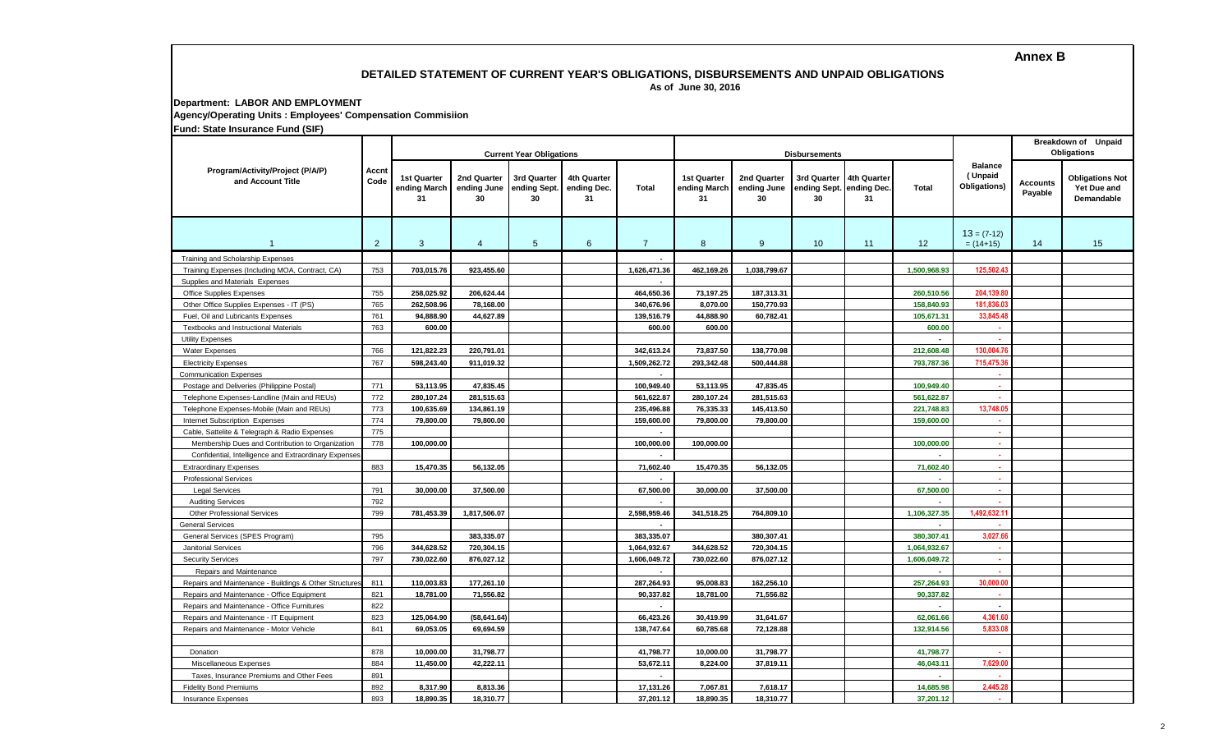**Annex B**

#### **DETAILED STATEMENT OF CURRENT YEAR'S OBLIGATIONS, DISBURSEMENTS AND UNPAID OBLIGATIONS As of June 30, 2016**

**Department: LABOR AND EMPLOYMENT**

**Agency/Operating Units : Employees' Compensation Commisiion**

**Fund: State Insurance Fund (SIF)**

|                                                        |                |                                   |                                  | <b>Current Year Obligations</b>   |                                         |                |                                          | <b>Disbursements</b>             |                                               | Breakdown of Unpaid<br>Obligations |                          |                                           |                            |                                                     |
|--------------------------------------------------------|----------------|-----------------------------------|----------------------------------|-----------------------------------|-----------------------------------------|----------------|------------------------------------------|----------------------------------|-----------------------------------------------|------------------------------------|--------------------------|-------------------------------------------|----------------------------|-----------------------------------------------------|
| Program/Activity/Project (P/A/P)<br>and Account Title  | Accnt<br>Code  | 1st Quarter<br>ending March<br>31 | 2nd Quarter<br>ending June<br>30 | 3rd Quarter<br>ending Sept.<br>30 | <b>4th Quarter</b><br>ending Dec.<br>31 | Total          | <b>1st Quarter</b><br>ending March<br>31 | 2nd Quarter<br>ending June<br>30 | 3rd Quarter<br>ending Sept. ending Dec.<br>30 | 4th Quarter<br>31                  | Total                    | <b>Balance</b><br>(Unpaid<br>Obligations) | <b>Accounts</b><br>Payable | <b>Obligations Not</b><br>Yet Due and<br>Demandable |
| 1                                                      | $\overline{2}$ | 3                                 | $\overline{4}$                   | $5\phantom{.0}$                   | 6                                       | $\overline{7}$ | 8                                        | 9                                | 10                                            | 11                                 | 12                       | $13 = (7-12)$<br>$= (14+15)$              | 14                         | 15                                                  |
| Training and Scholarship Expenses                      |                |                                   |                                  |                                   |                                         |                |                                          |                                  |                                               |                                    |                          |                                           |                            |                                                     |
| Training Expenses (Including MOA, Contract, CA)        | 753            | 703,015.76                        | 923,455.60                       |                                   |                                         | 1,626,471.36   | 462,169.26                               | 1,038,799.67                     |                                               |                                    | 1,500,968.93             | 125,502.4                                 |                            |                                                     |
| Supplies and Materials Expenses                        |                |                                   |                                  |                                   |                                         |                |                                          |                                  |                                               |                                    |                          |                                           |                            |                                                     |
| Office Supplies Expenses                               | 755            | 258,025.92                        | 206,624.44                       |                                   |                                         | 464,650.36     | 73,197.25                                | 187,313.31                       |                                               |                                    | 260,510.56               | 204,139.8                                 |                            |                                                     |
| Other Office Supplies Expenses - IT (PS)               | 765            | 262,508.96                        | 78,168.00                        |                                   |                                         | 340,676.96     | 8,070.00                                 | 150,770.93                       |                                               |                                    | 158,840.93               | 181,836.0                                 |                            |                                                     |
| Fuel, Oil and Lubricants Expenses                      | 761            | 94,888.90                         | 44,627.89                        |                                   |                                         | 139,516.79     | 44,888.90                                | 60,782.41                        |                                               |                                    | 105,671.31               | 33,845.4                                  |                            |                                                     |
| Textbooks and Instructional Materials                  | 763            | 600.00                            |                                  |                                   |                                         | 600.00         | 600.00                                   |                                  |                                               |                                    | 600.00                   | ×.                                        |                            |                                                     |
| <b>Utility Expenses</b>                                |                |                                   |                                  |                                   |                                         |                |                                          |                                  |                                               |                                    | $\overline{a}$           | $\sim$                                    |                            |                                                     |
| <b>Water Expenses</b>                                  | 766            | 121,822.23                        | 220,791.01                       |                                   |                                         | 342,613.24     | 73,837.50                                | 138,770.98                       |                                               |                                    | 212,608.48               | 130.004.7                                 |                            |                                                     |
| <b>Electricity Expenses</b>                            | 767            | 598,243.40                        | 911,019.32                       |                                   |                                         | 1.509.262.72   | 293.342.48                               | 500,444.88                       |                                               |                                    | 793,787.36               | 715.475.3                                 |                            |                                                     |
| <b>Communication Expenses</b>                          |                |                                   |                                  |                                   |                                         | $\sim$         |                                          |                                  |                                               |                                    |                          | ×.                                        |                            |                                                     |
| Postage and Deliveries (Philippine Postal)             | 771            | 53,113.95                         | 47,835.45                        |                                   |                                         | 100,949.40     | 53,113.95                                | 47,835.45                        |                                               |                                    | 100,949.40               | ×.                                        |                            |                                                     |
| Telephone Expenses-Landline (Main and REUs)            | 772            | 280,107.24                        | 281,515.63                       |                                   |                                         | 561,622.87     | 280,107.24                               | 281,515.63                       |                                               |                                    | 561,622.87               | A.                                        |                            |                                                     |
| Telephone Expenses-Mobile (Main and REUs)              | 773            | 100,635.69                        | 134,861.19                       |                                   |                                         | 235,496.88     | 76,335.33                                | 145,413.50                       |                                               |                                    | 221,748.83               | 13.748.05                                 |                            |                                                     |
| Internet Subscription Expenses                         | 774            | 79,800.00                         | 79,800.00                        |                                   |                                         | 159,600.00     | 79,800.00                                | 79,800.00                        |                                               |                                    | 159,600.00               | 14                                        |                            |                                                     |
| Cable, Sattelite & Telegraph & Radio Expenses          | 775            |                                   |                                  |                                   |                                         |                |                                          |                                  |                                               |                                    |                          | A.                                        |                            |                                                     |
| Membership Dues and Contribution to Organization       | 778            | 100,000.00                        |                                  |                                   |                                         | 100,000.00     | 100,000.00                               |                                  |                                               |                                    | 100,000.00               | n.                                        |                            |                                                     |
| Confidential, Intelligence and Extraordinary Expenses  |                |                                   |                                  |                                   |                                         |                |                                          |                                  |                                               |                                    |                          | . н.                                      |                            |                                                     |
| <b>Extraordinary Expenses</b>                          | 883            | 15,470.35                         | 56,132.05                        |                                   |                                         | 71,602.40      | 15,470.35                                | 56,132.05                        |                                               |                                    | 71,602.40                | $\sim$                                    |                            |                                                     |
| <b>Professional Services</b>                           |                |                                   |                                  |                                   |                                         |                |                                          |                                  |                                               |                                    |                          | ×                                         |                            |                                                     |
| <b>Legal Services</b>                                  | 791            | 30,000.00                         | 37,500.00                        |                                   |                                         | 67,500.00      | 30,000.00                                | 37,500.00                        |                                               |                                    | 67,500.00                | $\sim$                                    |                            |                                                     |
| <b>Auditing Services</b>                               | 792            |                                   |                                  |                                   |                                         |                |                                          |                                  |                                               |                                    |                          | ×                                         |                            |                                                     |
| <b>Other Professional Services</b>                     | 799            | 781,453.39                        | 1,817,506.07                     |                                   |                                         | 2,598,959.46   | 341,518.25                               | 764,809.10                       |                                               |                                    | 1,106,327.35             | 1,492,632.1                               |                            |                                                     |
| <b>General Services</b>                                |                |                                   |                                  |                                   |                                         |                |                                          |                                  |                                               |                                    |                          |                                           |                            |                                                     |
| General Services (SPES Program)                        | 795            |                                   | 383,335.07                       |                                   |                                         | 383.335.07     |                                          | 380,307.41                       |                                               |                                    | 380,307.41               | 3,027.6                                   |                            |                                                     |
| <b>Janitorial Services</b>                             | 796            | 344,628.52                        | 720,304.15                       |                                   |                                         | 1,064,932.67   | 344,628.52                               | 720,304.15                       |                                               |                                    | 1,064,932.67             | ×.                                        |                            |                                                     |
| <b>Security Services</b>                               | 797            | 730,022.60                        | 876,027.12                       |                                   |                                         | 1,606,049.72   | 730,022.60                               | 876,027.12                       |                                               |                                    | 1,606,049.72             | $\epsilon$                                |                            |                                                     |
| Repairs and Maintenance                                |                |                                   |                                  |                                   |                                         | ×.             |                                          |                                  |                                               |                                    | $\overline{\phantom{a}}$ | $\sim$                                    |                            |                                                     |
| Repairs and Maintenance - Buildings & Other Structures | 811            | 110,003.83                        | 177,261.10                       |                                   |                                         | 287,264.93     | 95,008.83                                | 162,256.10                       |                                               |                                    | 257,264.93               | 30,000.00                                 |                            |                                                     |
| Repairs and Maintenance - Office Equipment             | 821            | 18,781.00                         | 71,556.82                        |                                   |                                         | 90,337.82      | 18,781.00                                | 71,556.82                        |                                               |                                    | 90,337.82                | <b>A</b>                                  |                            |                                                     |
| Repairs and Maintenance - Office Furnitures            | 822            |                                   |                                  |                                   |                                         | ×.             |                                          |                                  |                                               |                                    |                          | ×                                         |                            |                                                     |
| Repairs and Maintenance - IT Equipment                 | 823            | 125,064.90                        | (58, 641.64)                     |                                   |                                         | 66,423.26      | 30,419.99                                | 31,641.67                        |                                               |                                    | 62,061.66                | 4,361.60                                  |                            |                                                     |
| Repairs and Maintenance - Motor Vehicle                | 841            | 69,053.05                         | 69,694.59                        |                                   |                                         | 138,747.64     | 60,785.68                                | 72,128.88                        |                                               |                                    | 132,914.56               | 5,833.0                                   |                            |                                                     |
|                                                        |                |                                   |                                  |                                   |                                         |                |                                          |                                  |                                               |                                    |                          |                                           |                            |                                                     |
| Donation                                               | 878            | 10,000.00                         | 31,798.77                        |                                   |                                         | 41,798.77      | 10,000.00                                | 31,798.77                        |                                               |                                    | 41,798.77                | $\sim$                                    |                            |                                                     |
| Miscellaneous Expenses                                 | 884            | 11,450.00                         | 42,222.11                        |                                   |                                         | 53,672.11      | 8,224.00                                 | 37,819.11                        |                                               |                                    | 46,043.11                | 7,629.00                                  |                            |                                                     |
| Taxes, Insurance Premiums and Other Fees               | 891            |                                   |                                  |                                   |                                         | ÷.             |                                          |                                  |                                               |                                    |                          | ÷.                                        |                            |                                                     |
| <b>Fidelity Bond Premiums</b>                          | 892            | 8,317.90                          | 8,813.36                         |                                   |                                         | 17,131.26      | 7,067.81                                 | 7,618.17                         |                                               |                                    | 14,685.98                | 2,445.28                                  |                            |                                                     |
| <b>Insurance Expenses</b>                              | 893            | 18.890.35                         | 18,310.77                        |                                   |                                         | 37.201.12      | 18.890.35                                | 18,310.77                        |                                               |                                    | 37.201.12                | ×.                                        |                            |                                                     |